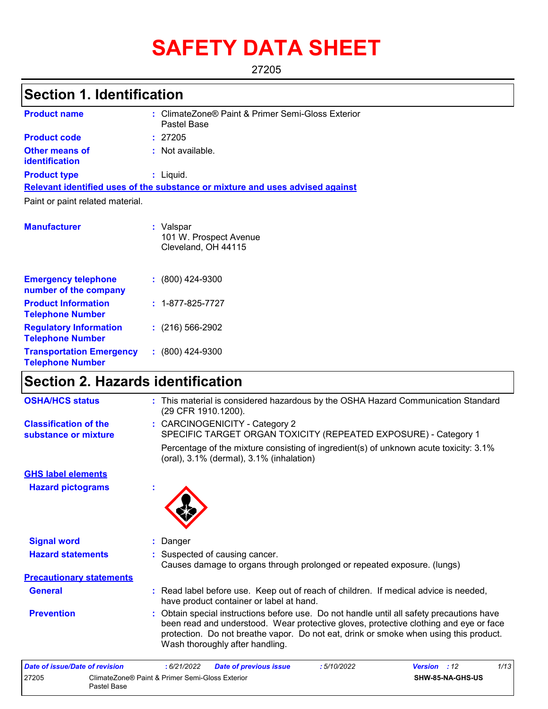# **SAFETY DATA SHEET**

27205

# **Section 1. Identification**

| <b>Product name</b>                                 | : ClimateZone® Paint & Primer Semi-Gloss Exterior<br>Pastel Base              |
|-----------------------------------------------------|-------------------------------------------------------------------------------|
| <b>Product code</b>                                 | : 27205                                                                       |
| <b>Other means of</b><br>identification             | $:$ Not available.                                                            |
| <b>Product type</b>                                 | $:$ Liquid.                                                                   |
|                                                     | Relevant identified uses of the substance or mixture and uses advised against |
| Paint or paint related material.                    |                                                                               |
| <b>Manufacturer</b>                                 | : Valspar                                                                     |
|                                                     | 101 W. Prospect Avenue<br>Cleveland, OH 44115                                 |
| <b>Emergency telephone</b><br>number of the company | $: (800)$ 424-9300                                                            |

| $: 1 - 877 - 825 - 7727$ |
|--------------------------|
| $(216)$ 566-2902         |
| $: (800)$ 424-9300       |
|                          |

## **Section 2. Hazards identification**

| <b>OSHA/HCS status</b>                               | : This material is considered hazardous by the OSHA Hazard Communication Standard<br>(29 CFR 1910.1200).                                                                                                                                                                                                       |  |
|------------------------------------------------------|----------------------------------------------------------------------------------------------------------------------------------------------------------------------------------------------------------------------------------------------------------------------------------------------------------------|--|
| <b>Classification of the</b><br>substance or mixture | : CARCINOGENICITY - Category 2<br>SPECIFIC TARGET ORGAN TOXICITY (REPEATED EXPOSURE) - Category 1                                                                                                                                                                                                              |  |
|                                                      | Percentage of the mixture consisting of ingredient(s) of unknown acute toxicity: 3.1%<br>(oral), 3.1% (dermal), 3.1% (inhalation)                                                                                                                                                                              |  |
| <b>GHS label elements</b>                            |                                                                                                                                                                                                                                                                                                                |  |
| <b>Hazard pictograms</b>                             |                                                                                                                                                                                                                                                                                                                |  |
| <b>Signal word</b>                                   | : Danger                                                                                                                                                                                                                                                                                                       |  |
| <b>Hazard statements</b>                             | : Suspected of causing cancer.<br>Causes damage to organs through prolonged or repeated exposure. (lungs)                                                                                                                                                                                                      |  |
| <b>Precautionary statements</b>                      |                                                                                                                                                                                                                                                                                                                |  |
| <b>General</b>                                       | : Read label before use. Keep out of reach of children. If medical advice is needed,<br>have product container or label at hand.                                                                                                                                                                               |  |
| <b>Prevention</b>                                    | : Obtain special instructions before use. Do not handle until all safety precautions have<br>been read and understood. Wear protective gloves, protective clothing and eye or face<br>protection. Do not breathe vapor. Do not eat, drink or smoke when using this product.<br>Wash thoroughly after handling. |  |
|                                                      |                                                                                                                                                                                                                                                                                                                |  |

| Date of issue/Date of revision |                                                                | : 6/21/2022 | <b>Date of previous issue</b> | : 5/10/2022 | <b>Version</b> : 12 |                         | 1/13 |
|--------------------------------|----------------------------------------------------------------|-------------|-------------------------------|-------------|---------------------|-------------------------|------|
| 27205                          | ClimateZone® Paint & Primer Semi-Gloss Exterior<br>Pastel Base |             |                               |             |                     | <b>SHW-85-NA-GHS-US</b> |      |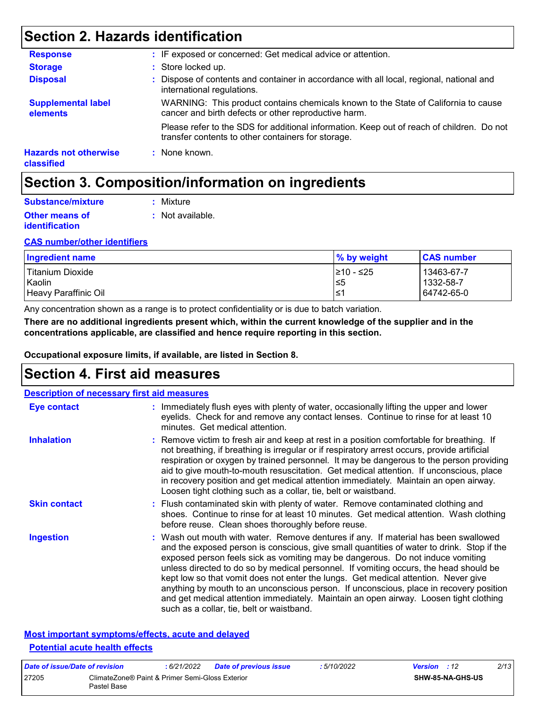## **Section 2. Hazards identification**

| <b>Response</b>                            | : IF exposed or concerned: Get medical advice or attention.                                                                                     |
|--------------------------------------------|-------------------------------------------------------------------------------------------------------------------------------------------------|
| <b>Storage</b>                             | : Store locked up.                                                                                                                              |
| <b>Disposal</b>                            | : Dispose of contents and container in accordance with all local, regional, national and<br>international regulations.                          |
| <b>Supplemental label</b><br>elements      | WARNING: This product contains chemicals known to the State of California to cause<br>cancer and birth defects or other reproductive harm.      |
|                                            | Please refer to the SDS for additional information. Keep out of reach of children. Do not<br>transfer contents to other containers for storage. |
| <b>Hazards not otherwise</b><br>classified | : None known.                                                                                                                                   |

## **Section 3. Composition/information on ingredients**

| Substance/mixture                              | : Mixture        |
|------------------------------------------------|------------------|
| <b>Other means of</b><br><b>identification</b> | : Not available. |

#### **CAS number/other identifiers**

| Ingredient name      | $\%$ by weight | <b>CAS number</b> |
|----------------------|----------------|-------------------|
| l Titanium Dioxide   | 1≥10 - ≤25     | 13463-67-7        |
| Kaolin               | 5≥ا            | 1332-58-7         |
| Heavy Paraffinic Oil | '≥ا            | 64742-65-0        |

Any concentration shown as a range is to protect confidentiality or is due to batch variation.

**There are no additional ingredients present which, within the current knowledge of the supplier and in the concentrations applicable, are classified and hence require reporting in this section.**

**Occupational exposure limits, if available, are listed in Section 8.**

## **Section 4. First aid measures**

| <b>Description of necessary first aid measures</b> |                                                                                                                                                                                                                                                                                                                                                                                                                                                                                                                                                                                                                                                                                   |
|----------------------------------------------------|-----------------------------------------------------------------------------------------------------------------------------------------------------------------------------------------------------------------------------------------------------------------------------------------------------------------------------------------------------------------------------------------------------------------------------------------------------------------------------------------------------------------------------------------------------------------------------------------------------------------------------------------------------------------------------------|
| Eye contact                                        | : Immediately flush eyes with plenty of water, occasionally lifting the upper and lower<br>eyelids. Check for and remove any contact lenses. Continue to rinse for at least 10<br>minutes. Get medical attention.                                                                                                                                                                                                                                                                                                                                                                                                                                                                 |
| <b>Inhalation</b>                                  | : Remove victim to fresh air and keep at rest in a position comfortable for breathing. If<br>not breathing, if breathing is irregular or if respiratory arrest occurs, provide artificial<br>respiration or oxygen by trained personnel. It may be dangerous to the person providing<br>aid to give mouth-to-mouth resuscitation. Get medical attention. If unconscious, place<br>in recovery position and get medical attention immediately. Maintain an open airway.<br>Loosen tight clothing such as a collar, tie, belt or waistband.                                                                                                                                         |
| <b>Skin contact</b>                                | : Flush contaminated skin with plenty of water. Remove contaminated clothing and<br>shoes. Continue to rinse for at least 10 minutes. Get medical attention. Wash clothing<br>before reuse. Clean shoes thoroughly before reuse.                                                                                                                                                                                                                                                                                                                                                                                                                                                  |
| <b>Ingestion</b>                                   | : Wash out mouth with water. Remove dentures if any. If material has been swallowed<br>and the exposed person is conscious, give small quantities of water to drink. Stop if the<br>exposed person feels sick as vomiting may be dangerous. Do not induce vomiting<br>unless directed to do so by medical personnel. If vomiting occurs, the head should be<br>kept low so that vomit does not enter the lungs. Get medical attention. Never give<br>anything by mouth to an unconscious person. If unconscious, place in recovery position<br>and get medical attention immediately. Maintain an open airway. Loosen tight clothing<br>such as a collar, tie, belt or waistband. |

#### **Most important symptoms/effects, acute and delayed Potential acute health effects**

| Date of issue/Date of revision |                                                                | 6/21/2022 | <b>Date of previous issue</b> | : 5/10/2022 | <b>Version</b> : 12 |                         | 2/13 |
|--------------------------------|----------------------------------------------------------------|-----------|-------------------------------|-------------|---------------------|-------------------------|------|
| 27205                          | ClimateZone® Paint & Primer Semi-Gloss Exterior<br>Pastel Base |           |                               |             |                     | <b>SHW-85-NA-GHS-US</b> |      |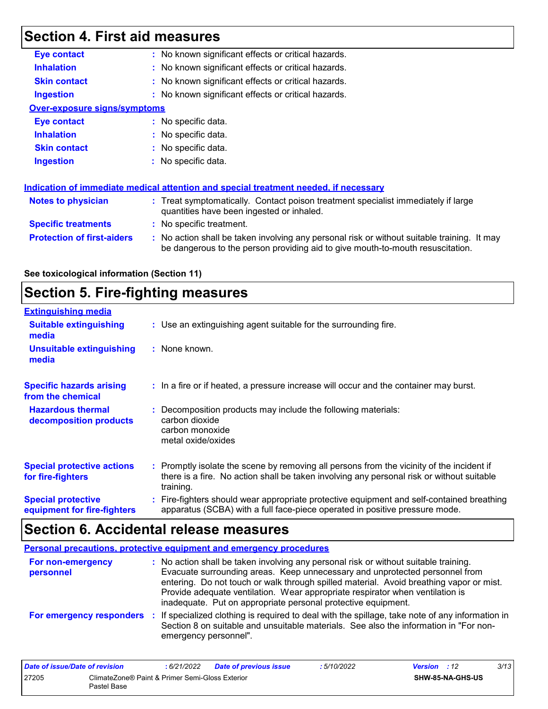# **Section 4. First aid measures**

| <b>Eye contact</b>                  | : No known significant effects or critical hazards.                                                                                                                           |
|-------------------------------------|-------------------------------------------------------------------------------------------------------------------------------------------------------------------------------|
| <b>Inhalation</b>                   | : No known significant effects or critical hazards.                                                                                                                           |
| <b>Skin contact</b>                 | : No known significant effects or critical hazards.                                                                                                                           |
| <b>Ingestion</b>                    | : No known significant effects or critical hazards.                                                                                                                           |
| <b>Over-exposure signs/symptoms</b> |                                                                                                                                                                               |
| Eye contact                         | $:$ No specific data.                                                                                                                                                         |
| <b>Inhalation</b>                   | : No specific data.                                                                                                                                                           |
| <b>Skin contact</b>                 | : No specific data.                                                                                                                                                           |
| <b>Ingestion</b>                    | : No specific data.                                                                                                                                                           |
|                                     | <b>Indication of immediate medical attention and special treatment needed, if necessary</b>                                                                                   |
| Notes to physician                  | : Treat symptomatically. Contact poison treatment specialist immediately if large<br>quantities have been ingested or inhaled.                                                |
| <b>Specific treatments</b>          | : No specific treatment.                                                                                                                                                      |
| <b>Protection of first-aiders</b>   | : No action shall be taken involving any personal risk or without suitable training. It may<br>be dangerous to the person providing aid to give mouth-to-mouth resuscitation. |
|                                     |                                                                                                                                                                               |

#### **See toxicological information (Section 11)**

## **Section 5. Fire-fighting measures**

| <b>Extinguishing media</b>                               |                                                                                                                                                                                                     |
|----------------------------------------------------------|-----------------------------------------------------------------------------------------------------------------------------------------------------------------------------------------------------|
| <b>Suitable extinguishing</b><br>media                   | : Use an extinguishing agent suitable for the surrounding fire.                                                                                                                                     |
| <b>Unsuitable extinguishing</b><br>media                 | : None known.                                                                                                                                                                                       |
| <b>Specific hazards arising</b><br>from the chemical     | : In a fire or if heated, a pressure increase will occur and the container may burst.                                                                                                               |
| <b>Hazardous thermal</b><br>decomposition products       | Decomposition products may include the following materials:<br>carbon dioxide<br>carbon monoxide<br>metal oxide/oxides                                                                              |
| <b>Special protective actions</b><br>for fire-fighters   | : Promptly isolate the scene by removing all persons from the vicinity of the incident if<br>there is a fire. No action shall be taken involving any personal risk or without suitable<br>training. |
| <b>Special protective</b><br>equipment for fire-fighters | : Fire-fighters should wear appropriate protective equipment and self-contained breathing<br>apparatus (SCBA) with a full face-piece operated in positive pressure mode.                            |

# **Section 6. Accidental release measures**

| Personal precautions, protective equipment and emergency procedures |                                                                                                                                                                                                                                                                                                                                                                                                                  |  |  |  |
|---------------------------------------------------------------------|------------------------------------------------------------------------------------------------------------------------------------------------------------------------------------------------------------------------------------------------------------------------------------------------------------------------------------------------------------------------------------------------------------------|--|--|--|
| For non-emergency<br>personnel                                      | : No action shall be taken involving any personal risk or without suitable training.<br>Evacuate surrounding areas. Keep unnecessary and unprotected personnel from<br>entering. Do not touch or walk through spilled material. Avoid breathing vapor or mist.<br>Provide adequate ventilation. Wear appropriate respirator when ventilation is<br>inadequate. Put on appropriate personal protective equipment. |  |  |  |
| For emergency responders                                            | : If specialized clothing is required to deal with the spillage, take note of any information in<br>Section 8 on suitable and unsuitable materials. See also the information in "For non-<br>emergency personnel".                                                                                                                                                                                               |  |  |  |

| Date of issue/Date of revision |                                                                | : 6/21/2022 | <b>Date of previous issue</b> | : 5/10/2022 | <b>Version</b> : 12 |                         | 3/13 |
|--------------------------------|----------------------------------------------------------------|-------------|-------------------------------|-------------|---------------------|-------------------------|------|
| 27205                          | ClimateZone® Paint & Primer Semi-Gloss Exterior<br>Pastel Base |             |                               |             |                     | <b>SHW-85-NA-GHS-US</b> |      |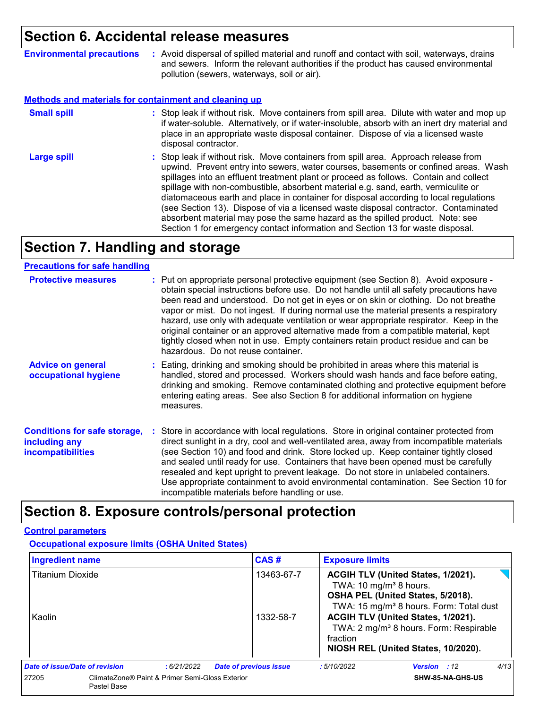### **Section 6. Accidental release measures**

**Environmental precautions :** Avoid dispersal of spilled material and runoff and contact with soil, waterways, drains and sewers. Inform the relevant authorities if the product has caused environmental pollution (sewers, waterways, soil or air).

#### **Methods and materials for containment and cleaning up**

| <b>Small spill</b> | : Stop leak if without risk. Move containers from spill area. Dilute with water and mop up<br>if water-soluble. Alternatively, or if water-insoluble, absorb with an inert dry material and<br>place in an appropriate waste disposal container. Dispose of via a licensed waste<br>disposal contractor.                                                                                                                                                                                                                                                                                                                                                                                                     |
|--------------------|--------------------------------------------------------------------------------------------------------------------------------------------------------------------------------------------------------------------------------------------------------------------------------------------------------------------------------------------------------------------------------------------------------------------------------------------------------------------------------------------------------------------------------------------------------------------------------------------------------------------------------------------------------------------------------------------------------------|
| <b>Large spill</b> | : Stop leak if without risk. Move containers from spill area. Approach release from<br>upwind. Prevent entry into sewers, water courses, basements or confined areas. Wash<br>spillages into an effluent treatment plant or proceed as follows. Contain and collect<br>spillage with non-combustible, absorbent material e.g. sand, earth, vermiculite or<br>diatomaceous earth and place in container for disposal according to local regulations<br>(see Section 13). Dispose of via a licensed waste disposal contractor. Contaminated<br>absorbent material may pose the same hazard as the spilled product. Note: see<br>Section 1 for emergency contact information and Section 13 for waste disposal. |

## **Section 7. Handling and storage**

#### **Precautions for safe handling**

| <b>Protective measures</b>                                                       | : Put on appropriate personal protective equipment (see Section 8). Avoid exposure -<br>obtain special instructions before use. Do not handle until all safety precautions have<br>been read and understood. Do not get in eyes or on skin or clothing. Do not breathe<br>vapor or mist. Do not ingest. If during normal use the material presents a respiratory<br>hazard, use only with adequate ventilation or wear appropriate respirator. Keep in the<br>original container or an approved alternative made from a compatible material, kept<br>tightly closed when not in use. Empty containers retain product residue and can be<br>hazardous. Do not reuse container. |
|----------------------------------------------------------------------------------|-------------------------------------------------------------------------------------------------------------------------------------------------------------------------------------------------------------------------------------------------------------------------------------------------------------------------------------------------------------------------------------------------------------------------------------------------------------------------------------------------------------------------------------------------------------------------------------------------------------------------------------------------------------------------------|
| <b>Advice on general</b><br>occupational hygiene                                 | : Eating, drinking and smoking should be prohibited in areas where this material is<br>handled, stored and processed. Workers should wash hands and face before eating,<br>drinking and smoking. Remove contaminated clothing and protective equipment before<br>entering eating areas. See also Section 8 for additional information on hygiene<br>measures.                                                                                                                                                                                                                                                                                                                 |
| <b>Conditions for safe storage,</b><br>including any<br><b>incompatibilities</b> | Store in accordance with local regulations. Store in original container protected from<br>direct sunlight in a dry, cool and well-ventilated area, away from incompatible materials<br>(see Section 10) and food and drink. Store locked up. Keep container tightly closed<br>and sealed until ready for use. Containers that have been opened must be carefully<br>resealed and kept upright to prevent leakage. Do not store in unlabeled containers.<br>Use appropriate containment to avoid environmental contamination. See Section 10 for<br>incompatible materials before handling or use.                                                                             |

## **Section 8. Exposure controls/personal protection**

#### **Control parameters**

**Occupational exposure limits (OSHA United States)**

| <b>Ingredient name</b>         |             |                                                 | CAS#                          | <b>Exposure limits</b>                                                                                                                                               |                                                                                                                                 |      |
|--------------------------------|-------------|-------------------------------------------------|-------------------------------|----------------------------------------------------------------------------------------------------------------------------------------------------------------------|---------------------------------------------------------------------------------------------------------------------------------|------|
| <b>Titanium Dioxide</b>        |             |                                                 | 13463-67-7                    | ACGIH TLV (United States, 1/2021).<br>TWA: 10 mg/m <sup>3</sup> 8 hours.<br>OSHA PEL (United States, 5/2018).<br>TWA: 15 mg/m <sup>3</sup> 8 hours. Form: Total dust |                                                                                                                                 |      |
| Kaolin                         |             |                                                 | 1332-58-7                     | fraction                                                                                                                                                             | ACGIH TLV (United States, 1/2021).<br>TWA: 2 mg/m <sup>3</sup> 8 hours. Form: Respirable<br>NIOSH REL (United States, 10/2020). |      |
| Date of issue/Date of revision |             | :6/21/2022                                      | <b>Date of previous issue</b> | :5/10/2022                                                                                                                                                           | Version : 12                                                                                                                    | 4/13 |
| 27205                          | Pastel Base | ClimateZone® Paint & Primer Semi-Gloss Exterior |                               |                                                                                                                                                                      | SHW-85-NA-GHS-US                                                                                                                |      |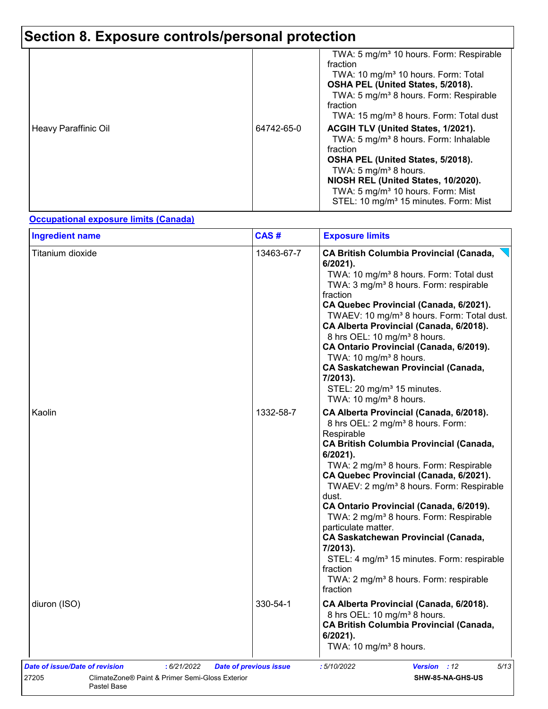# **Section 8. Exposure controls/personal protection**

| Heavy Paraffinic Oil | 64742-65-0 | TWA: 5 mg/m <sup>3</sup> 10 hours. Form: Respirable<br>fraction<br>TWA: 10 mg/m <sup>3</sup> 10 hours. Form: Total<br>OSHA PEL (United States, 5/2018).<br>TWA: 5 mg/m <sup>3</sup> 8 hours. Form: Respirable<br>fraction<br>TWA: 15 mg/m <sup>3</sup> 8 hours. Form: Total dust<br>ACGIH TLV (United States, 1/2021).<br>TWA: 5 mg/m <sup>3</sup> 8 hours. Form: Inhalable<br>fraction<br>OSHA PEL (United States, 5/2018).<br>TWA: 5 mg/m <sup>3</sup> 8 hours.<br>NIOSH REL (United States, 10/2020).<br>TWA: 5 mg/m <sup>3</sup> 10 hours. Form: Mist<br>STEL: 10 mg/m <sup>3</sup> 15 minutes. Form: Mist |
|----------------------|------------|----------------------------------------------------------------------------------------------------------------------------------------------------------------------------------------------------------------------------------------------------------------------------------------------------------------------------------------------------------------------------------------------------------------------------------------------------------------------------------------------------------------------------------------------------------------------------------------------------------------|
|----------------------|------------|----------------------------------------------------------------------------------------------------------------------------------------------------------------------------------------------------------------------------------------------------------------------------------------------------------------------------------------------------------------------------------------------------------------------------------------------------------------------------------------------------------------------------------------------------------------------------------------------------------------|

#### **Occupational exposure limits (Canada)**

| Titanium dioxide | 13463-67-7 | <b>CA British Columbia Provincial (Canada,</b><br>6/2021).<br>TWA: 10 mg/m <sup>3</sup> 8 hours. Form: Total dust<br>TWA: 3 mg/m <sup>3</sup> 8 hours. Form: respirable<br>fraction<br>CA Quebec Provincial (Canada, 6/2021).<br>TWAEV: 10 mg/m <sup>3</sup> 8 hours. Form: Total dust.                                                                                                                                                                                                                                                                                                                                                                            |
|------------------|------------|--------------------------------------------------------------------------------------------------------------------------------------------------------------------------------------------------------------------------------------------------------------------------------------------------------------------------------------------------------------------------------------------------------------------------------------------------------------------------------------------------------------------------------------------------------------------------------------------------------------------------------------------------------------------|
|                  |            | CA Alberta Provincial (Canada, 6/2018).<br>8 hrs OEL: 10 mg/m <sup>3</sup> 8 hours.<br>CA Ontario Provincial (Canada, 6/2019).<br>TWA: 10 mg/m <sup>3</sup> 8 hours.<br><b>CA Saskatchewan Provincial (Canada,</b><br>7/2013).<br>STEL: 20 mg/m <sup>3</sup> 15 minutes.<br>TWA: 10 mg/m <sup>3</sup> 8 hours.                                                                                                                                                                                                                                                                                                                                                     |
| Kaolin           | 1332-58-7  | CA Alberta Provincial (Canada, 6/2018).<br>8 hrs OEL: 2 mg/m <sup>3</sup> 8 hours. Form:<br>Respirable<br><b>CA British Columbia Provincial (Canada,</b><br>$6/2021$ ).<br>TWA: 2 mg/m <sup>3</sup> 8 hours. Form: Respirable<br>CA Quebec Provincial (Canada, 6/2021).<br>TWAEV: 2 mg/m <sup>3</sup> 8 hours. Form: Respirable<br>dust.<br>CA Ontario Provincial (Canada, 6/2019).<br>TWA: 2 mg/m <sup>3</sup> 8 hours. Form: Respirable<br>particulate matter.<br><b>CA Saskatchewan Provincial (Canada,</b><br>7/2013).<br>STEL: 4 mg/m <sup>3</sup> 15 minutes. Form: respirable<br>fraction<br>TWA: 2 mg/m <sup>3</sup> 8 hours. Form: respirable<br>fraction |
| diuron (ISO)     | 330-54-1   | CA Alberta Provincial (Canada, 6/2018).<br>8 hrs OEL: 10 mg/m <sup>3</sup> 8 hours.<br><b>CA British Columbia Provincial (Canada,</b><br>6/2021).<br>TWA: 10 mg/m <sup>3</sup> 8 hours.                                                                                                                                                                                                                                                                                                                                                                                                                                                                            |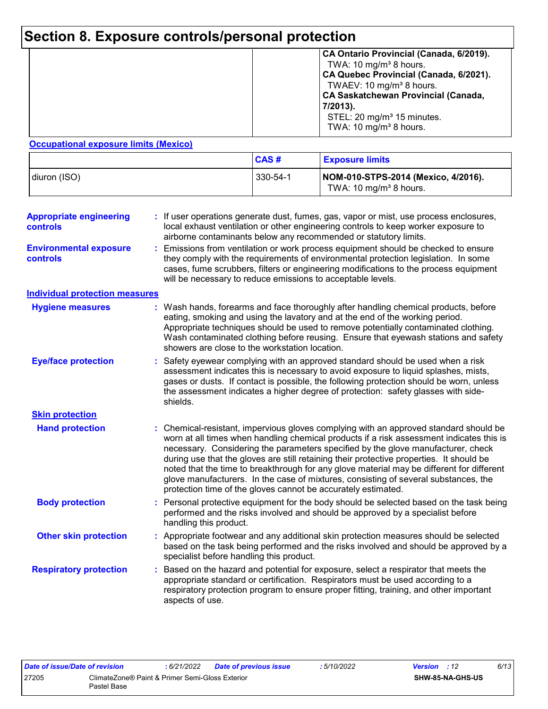# **Section 8. Exposure controls/personal protection**

|  | CA Ontario Provincial (Canada, 6/2019).<br>TWA: 10 mg/m <sup>3</sup> 8 hours.<br>CA Quebec Provincial (Canada, 6/2021).<br>TWAEV: 10 mg/m <sup>3</sup> 8 hours.<br><b>CA Saskatchewan Provincial (Canada,</b><br>7/2013).<br>STEL: 20 mg/m <sup>3</sup> 15 minutes.<br>TWA: 10 mg/m <sup>3</sup> 8 hours. |
|--|-----------------------------------------------------------------------------------------------------------------------------------------------------------------------------------------------------------------------------------------------------------------------------------------------------------|
|--|-----------------------------------------------------------------------------------------------------------------------------------------------------------------------------------------------------------------------------------------------------------------------------------------------------------|

#### **Occupational exposure limits (Mexico)**

|              | <b>CAS#</b> | <b>Exposure limits</b>                                                    |
|--------------|-------------|---------------------------------------------------------------------------|
| diuron (ISO) | 330-54-1    | NOM-010-STPS-2014 (Mexico, 4/2016).<br>TWA: 10 mg/m <sup>3</sup> 8 hours. |

| <b>Appropriate engineering</b><br>controls<br><b>Environmental exposure</b> |    | : If user operations generate dust, fumes, gas, vapor or mist, use process enclosures,<br>local exhaust ventilation or other engineering controls to keep worker exposure to<br>airborne contaminants below any recommended or statutory limits.<br>Emissions from ventilation or work process equipment should be checked to ensure                                                                                                                                                                                                                                                                                   |
|-----------------------------------------------------------------------------|----|------------------------------------------------------------------------------------------------------------------------------------------------------------------------------------------------------------------------------------------------------------------------------------------------------------------------------------------------------------------------------------------------------------------------------------------------------------------------------------------------------------------------------------------------------------------------------------------------------------------------|
| controls                                                                    |    | they comply with the requirements of environmental protection legislation. In some<br>cases, fume scrubbers, filters or engineering modifications to the process equipment<br>will be necessary to reduce emissions to acceptable levels.                                                                                                                                                                                                                                                                                                                                                                              |
| <b>Individual protection measures</b>                                       |    |                                                                                                                                                                                                                                                                                                                                                                                                                                                                                                                                                                                                                        |
| <b>Hygiene measures</b>                                                     |    | : Wash hands, forearms and face thoroughly after handling chemical products, before<br>eating, smoking and using the lavatory and at the end of the working period.<br>Appropriate techniques should be used to remove potentially contaminated clothing.<br>Wash contaminated clothing before reusing. Ensure that eyewash stations and safety<br>showers are close to the workstation location.                                                                                                                                                                                                                      |
| <b>Eye/face protection</b>                                                  |    | Safety eyewear complying with an approved standard should be used when a risk<br>assessment indicates this is necessary to avoid exposure to liquid splashes, mists,<br>gases or dusts. If contact is possible, the following protection should be worn, unless<br>the assessment indicates a higher degree of protection: safety glasses with side-<br>shields.                                                                                                                                                                                                                                                       |
| <b>Skin protection</b>                                                      |    |                                                                                                                                                                                                                                                                                                                                                                                                                                                                                                                                                                                                                        |
| <b>Hand protection</b>                                                      |    | : Chemical-resistant, impervious gloves complying with an approved standard should be<br>worn at all times when handling chemical products if a risk assessment indicates this is<br>necessary. Considering the parameters specified by the glove manufacturer, check<br>during use that the gloves are still retaining their protective properties. It should be<br>noted that the time to breakthrough for any glove material may be different for different<br>glove manufacturers. In the case of mixtures, consisting of several substances, the<br>protection time of the gloves cannot be accurately estimated. |
| <b>Body protection</b>                                                      |    | Personal protective equipment for the body should be selected based on the task being<br>performed and the risks involved and should be approved by a specialist before<br>handling this product.                                                                                                                                                                                                                                                                                                                                                                                                                      |
| <b>Other skin protection</b>                                                |    | Appropriate footwear and any additional skin protection measures should be selected<br>based on the task being performed and the risks involved and should be approved by a<br>specialist before handling this product.                                                                                                                                                                                                                                                                                                                                                                                                |
| <b>Respiratory protection</b>                                               | t. | Based on the hazard and potential for exposure, select a respirator that meets the<br>appropriate standard or certification. Respirators must be used according to a<br>respiratory protection program to ensure proper fitting, training, and other important<br>aspects of use.                                                                                                                                                                                                                                                                                                                                      |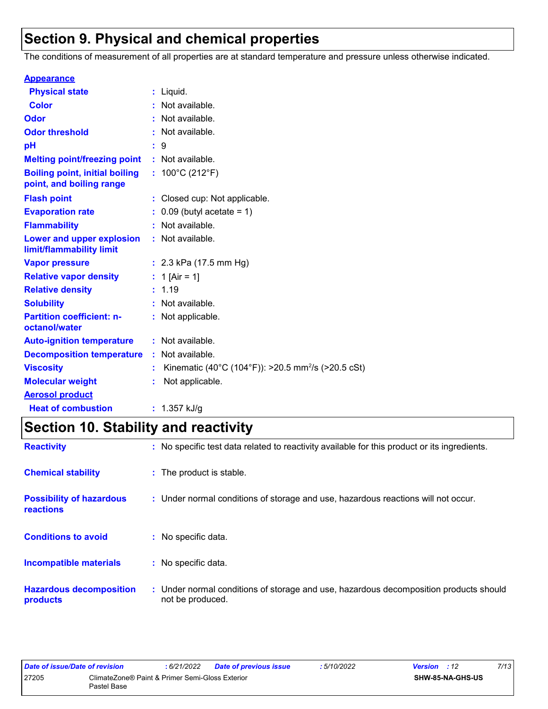# **Section 9. Physical and chemical properties**

The conditions of measurement of all properties are at standard temperature and pressure unless otherwise indicated.

| <b>Appearance</b>                                                 |                                                                |
|-------------------------------------------------------------------|----------------------------------------------------------------|
| <b>Physical state</b>                                             | $:$ Liquid.                                                    |
| <b>Color</b>                                                      | : Not available.                                               |
| Odor                                                              | : Not available.                                               |
| <b>Odor threshold</b>                                             | : Not available.                                               |
| рH                                                                | : 9                                                            |
| <b>Melting point/freezing point</b>                               | : Not available.                                               |
| <b>Boiling point, initial boiling</b><br>point, and boiling range | : $100^{\circ}$ C (212 $^{\circ}$ F)                           |
| <b>Flash point</b>                                                | : Closed cup: Not applicable.                                  |
| <b>Evaporation rate</b>                                           | $0.09$ (butyl acetate = 1)                                     |
| <b>Flammability</b>                                               | : Not available.                                               |
| Lower and upper explosion<br>limit/flammability limit             | : Not available.                                               |
| <b>Vapor pressure</b>                                             | : $2.3$ kPa (17.5 mm Hg)                                       |
| <b>Relative vapor density</b>                                     | : 1 [Air = 1]                                                  |
| <b>Relative density</b>                                           | : 1.19                                                         |
| <b>Solubility</b>                                                 | : Not available.                                               |
| <b>Partition coefficient: n-</b><br>octanol/water                 | : Not applicable.                                              |
| <b>Auto-ignition temperature</b>                                  | : Not available.                                               |
| <b>Decomposition temperature</b>                                  | : Not available.                                               |
| <b>Viscosity</b>                                                  | Kinematic (40°C (104°F)): >20.5 mm <sup>2</sup> /s (>20.5 cSt) |
| <b>Molecular weight</b>                                           | Not applicable.                                                |
| <b>Aerosol product</b>                                            |                                                                |
| <b>Heat of combustion</b>                                         | : $1.357$ kJ/g                                                 |

# **Section 10. Stability and reactivity**

| <b>Reactivity</b>                            | : No specific test data related to reactivity available for this product or its ingredients.              |  |
|----------------------------------------------|-----------------------------------------------------------------------------------------------------------|--|
| <b>Chemical stability</b>                    | : The product is stable.                                                                                  |  |
| <b>Possibility of hazardous</b><br>reactions | : Under normal conditions of storage and use, hazardous reactions will not occur.                         |  |
| <b>Conditions to avoid</b>                   | : No specific data.                                                                                       |  |
| Incompatible materials                       | : No specific data.                                                                                       |  |
| <b>Hazardous decomposition</b><br>products   | : Under normal conditions of storage and use, hazardous decomposition products should<br>not be produced. |  |

| Date of issue/Date of revision |                                                                | : 6/21/2022 | <b>Date of previous issue</b> | : 5/10/2022 | <b>Version</b> : 12 |                  | 7/13 |
|--------------------------------|----------------------------------------------------------------|-------------|-------------------------------|-------------|---------------------|------------------|------|
| 27205                          | ClimateZone® Paint & Primer Semi-Gloss Exterior<br>Pastel Base |             |                               |             |                     | SHW-85-NA-GHS-US |      |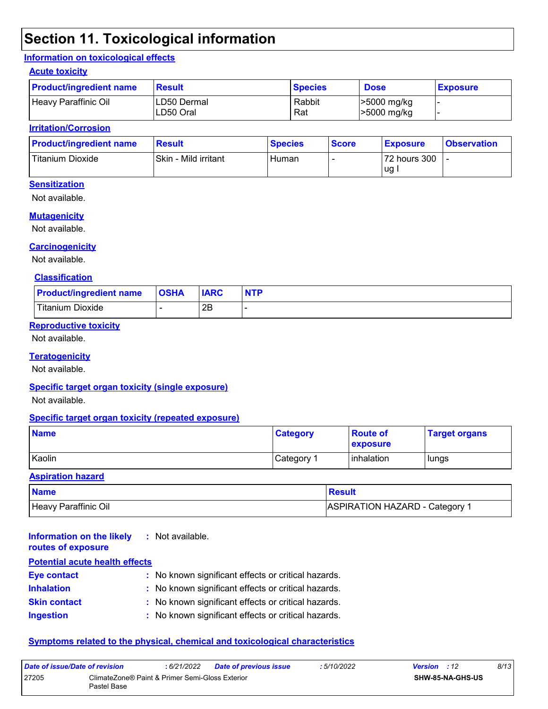# **Section 11. Toxicological information**

#### **Information on toxicological effects**

#### **Acute toxicity**

| <b>Product/ingredient name</b> | <b>Result</b>             | <b>Species</b> | <b>Dose</b>                | <b>Exposure</b> |
|--------------------------------|---------------------------|----------------|----------------------------|-----------------|
| Heavy Paraffinic Oil           | ILD50 Dermal<br>LD50 Oral | Rabbit<br>Rat  | >5000 mg/kg<br>>5000 mg/kg |                 |

#### **Irritation/Corrosion**

| <b>Product/ingredient name</b> | <b>Result</b>        | <b>Species</b> | <b>Score</b> | <b>Exposure</b> | <b>Observation</b> |
|--------------------------------|----------------------|----------------|--------------|-----------------|--------------------|
| Titanium Dioxide               | Skin - Mild irritant | Human          |              | 72 hours 300    |                    |
|                                |                      |                |              | ug.             |                    |

#### **Sensitization**

Not available.

#### **Mutagenicity**

Not available.

#### **Carcinogenicity**

Not available.

#### **Classification**

| <b>Product/ingredient name</b> | <b>OSHA</b> | <b>IARC</b> | <b>NTP</b> |
|--------------------------------|-------------|-------------|------------|
| Titanium Dioxide               |             | 2E          |            |

#### **Reproductive toxicity**

Not available.

#### **Teratogenicity**

Not available.

#### **Specific target organ toxicity (single exposure)**

Not available.

#### **Specific target organ toxicity (repeated exposure)**

| <b>Name</b> | <b>Category</b>        | <b>Route of</b><br><b>exposure</b> | <b>Target organs</b> |
|-------------|------------------------|------------------------------------|----------------------|
| Kaolin      | ∣Category <sup>≁</sup> | <b>l</b> inhalation                | lungs                |

#### **Aspiration hazard**

| <b>Name</b>          | Result                         |
|----------------------|--------------------------------|
| Heavy Paraffinic Oil | ASPIRATION HAZARD - Category 1 |

| Information on the likely<br>routes of exposure | : Not available.                                    |
|-------------------------------------------------|-----------------------------------------------------|
| <b>Potential acute health effects</b>           |                                                     |
| <b>Eye contact</b>                              | : No known significant effects or critical hazards. |
| <b>Inhalation</b>                               | : No known significant effects or critical hazards. |
| <b>Skin contact</b>                             | : No known significant effects or critical hazards. |
| <b>Ingestion</b>                                | : No known significant effects or critical hazards. |

#### **Symptoms related to the physical, chemical and toxicological characteristics**

| Date of issue/Date of revision |                                                                | 6/21/2022 | <b>Date of previous issue</b> | : 5/10/2022 | <b>Version</b> : 12     | 8/13 |
|--------------------------------|----------------------------------------------------------------|-----------|-------------------------------|-------------|-------------------------|------|
| 27205                          | ClimateZone® Paint & Primer Semi-Gloss Exterior<br>Pastel Base |           |                               |             | <b>SHW-85-NA-GHS-US</b> |      |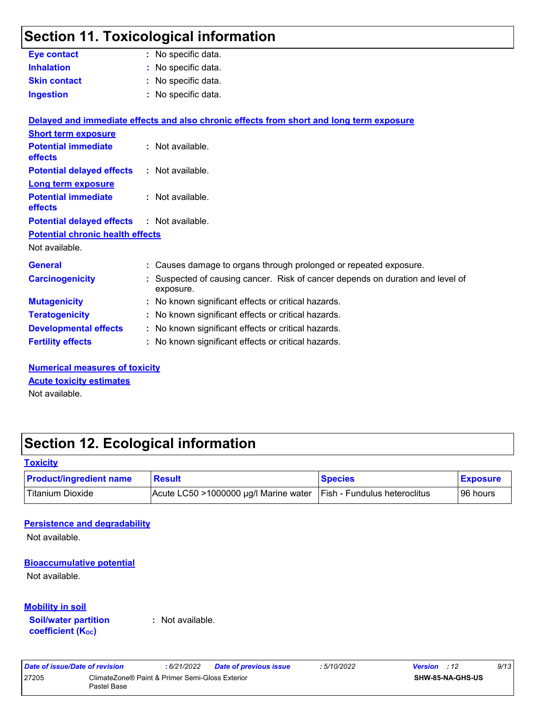## **Section 11. Toxicological information**

|                                              | <u>sush rin roxusologlodi illisriilation</u>                                              |
|----------------------------------------------|-------------------------------------------------------------------------------------------|
| <b>Eye contact</b>                           | : No specific data.                                                                       |
| <b>Inhalation</b>                            | : No specific data.                                                                       |
| <b>Skin contact</b>                          | No specific data.                                                                         |
| <b>Ingestion</b>                             | : No specific data.                                                                       |
|                                              | Delayed and immediate effects and also chronic effects from short and long term exposure  |
| <b>Short term exposure</b>                   |                                                                                           |
| <b>Potential immediate</b><br>effects        | : Not available.                                                                          |
| <b>Potential delayed effects</b>             | : Not available.                                                                          |
| <b>Long term exposure</b>                    |                                                                                           |
| <b>Potential immediate</b><br><b>effects</b> | : Not available.                                                                          |
| <b>Potential delayed effects</b>             | : Not available.                                                                          |
| <b>Potential chronic health effects</b>      |                                                                                           |
| Not available.                               |                                                                                           |
| <b>General</b>                               | : Causes damage to organs through prolonged or repeated exposure.                         |
| <b>Carcinogenicity</b>                       | Suspected of causing cancer. Risk of cancer depends on duration and level of<br>exposure. |
| <b>Mutagenicity</b>                          | No known significant effects or critical hazards.                                         |
| <b>Teratogenicity</b>                        | No known significant effects or critical hazards.                                         |
| <b>Developmental effects</b>                 | No known significant effects or critical hazards.                                         |
| <b>Fertility effects</b>                     | No known significant effects or critical hazards.                                         |
|                                              |                                                                                           |

**Numerical measures of toxicity** Not available. **Acute toxicity estimates**

## **Section 12. Ecological information**

#### **Toxicity**

| <b>Product/ingredient name</b> | <b>Result</b>                           | <b>Species</b>                      | <b>Exposure</b> |
|--------------------------------|-----------------------------------------|-------------------------------------|-----------------|
| <sup>I</sup> Titanium Dioxide  | Acute LC50 $>1000000$ µg/l Marine water | <b>Fish - Fundulus heteroclitus</b> | 96 hours        |

#### **Persistence and degradability**

Not available.

#### **Bioaccumulative potential**

Not available.

#### **Mobility in soil**

**Soil/water partition coefficient (KOC)**

**:** Not available.

| Date of issue/Date of revision |                                                                | : 6/21/2022 | Date of previous issue | : 5/10/2022 | <b>Version</b> : 12 |                         | 9/13 |
|--------------------------------|----------------------------------------------------------------|-------------|------------------------|-------------|---------------------|-------------------------|------|
| 27205                          | ClimateZone® Paint & Primer Semi-Gloss Exterior<br>Pastel Base |             |                        |             |                     | <b>SHW-85-NA-GHS-US</b> |      |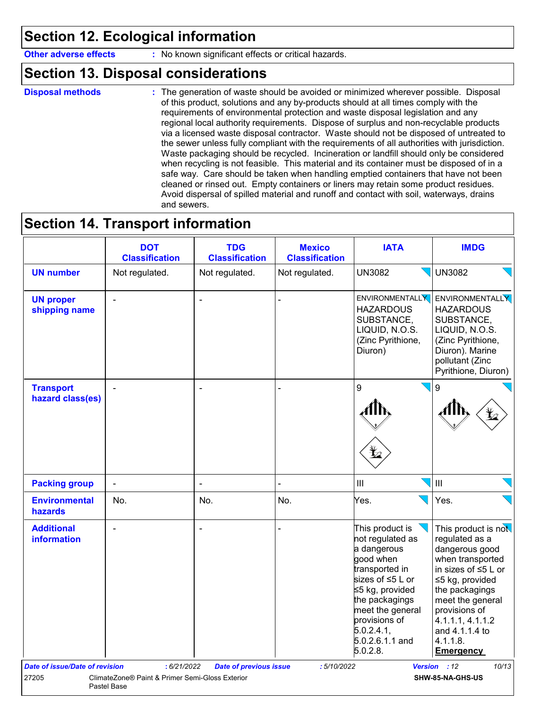## **Section 12. Ecological information**

**Other adverse effects** : No known significant effects or critical hazards.

## **Section 13. Disposal considerations**

**Disposal methods :**

The generation of waste should be avoided or minimized wherever possible. Disposal of this product, solutions and any by-products should at all times comply with the requirements of environmental protection and waste disposal legislation and any regional local authority requirements. Dispose of surplus and non-recyclable products via a licensed waste disposal contractor. Waste should not be disposed of untreated to the sewer unless fully compliant with the requirements of all authorities with jurisdiction. Waste packaging should be recycled. Incineration or landfill should only be considered when recycling is not feasible. This material and its container must be disposed of in a safe way. Care should be taken when handling emptied containers that have not been cleaned or rinsed out. Empty containers or liners may retain some product residues. Avoid dispersal of spilled material and runoff and contact with soil, waterways, drains and sewers.

## **Section 14. Transport information**

|                                        | <b>DOT</b><br><b>Classification</b> | <b>TDG</b><br><b>Classification</b> | <b>Mexico</b><br><b>Classification</b> | <b>IATA</b>                                                                                                                                                                                                     | <b>IMDG</b>                                                                                                                                                                                                                    |
|----------------------------------------|-------------------------------------|-------------------------------------|----------------------------------------|-----------------------------------------------------------------------------------------------------------------------------------------------------------------------------------------------------------------|--------------------------------------------------------------------------------------------------------------------------------------------------------------------------------------------------------------------------------|
| <b>UN number</b>                       | Not regulated.                      | Not regulated.                      | Not regulated.                         | <b>UN3082</b>                                                                                                                                                                                                   | <b>UN3082</b>                                                                                                                                                                                                                  |
| <b>UN proper</b><br>shipping name      |                                     | ÷,                                  |                                        | <b>HAZARDOUS</b><br>SUBSTANCE,<br>LIQUID, N.O.S.<br>(Zinc Pyrithione,<br>Diuron)                                                                                                                                | ENVIRONMENTALLY ENVIRONMENTALLY<br><b>HAZARDOUS</b><br>SUBSTANCE,<br>LIQUID, N.O.S.<br>(Zinc Pyrithione,<br>Diuron). Marine<br>pollutant (Zinc<br>Pyrithione, Diuron)                                                          |
| <b>Transport</b><br>hazard class(es)   | $\blacksquare$                      | $\overline{\phantom{a}}$            |                                        | 9                                                                                                                                                                                                               | 9                                                                                                                                                                                                                              |
| <b>Packing group</b>                   | $\blacksquare$                      | $\qquad \qquad \blacksquare$        |                                        | III                                                                                                                                                                                                             | III                                                                                                                                                                                                                            |
| <b>Environmental</b><br><b>hazards</b> | No.                                 | No.                                 | No.                                    | Yes.                                                                                                                                                                                                            | Yes.                                                                                                                                                                                                                           |
| <b>Additional</b><br>information       |                                     | J.                                  |                                        | This product is<br>not regulated as<br>a dangerous<br>good when<br>transported in<br>sizes of ≤5 L or<br>≤5 kg, provided<br>the packagings<br>meet the general<br>provisions of<br>5.0.2.4.1<br>5.0.2.6.1.1 and | This product is not<br>regulated as a<br>dangerous good<br>when transported<br>in sizes of ≤5 L or<br>≤5 kg, provided<br>the packagings<br>meet the general<br>provisions of<br>4.1.1.1, 4.1.1.2<br>and 4.1.1.4 to<br>4.1.1.8. |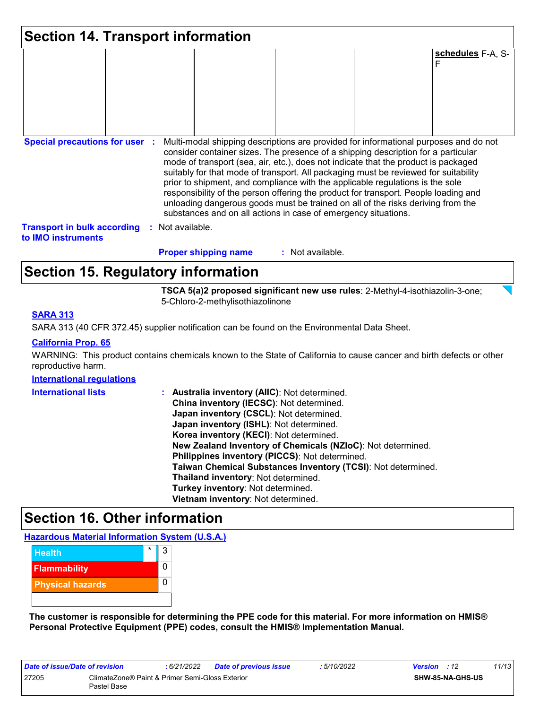| Section 14. Transport information                               |                                                                |                    |                                                                                                                                                                                                                                                                                                                                                                                                                                                                                                                                                                                                                   |  |  |  |  |
|-----------------------------------------------------------------|----------------------------------------------------------------|--------------------|-------------------------------------------------------------------------------------------------------------------------------------------------------------------------------------------------------------------------------------------------------------------------------------------------------------------------------------------------------------------------------------------------------------------------------------------------------------------------------------------------------------------------------------------------------------------------------------------------------------------|--|--|--|--|
|                                                                 |                                                                |                    | schedules F-A, S-<br>F                                                                                                                                                                                                                                                                                                                                                                                                                                                                                                                                                                                            |  |  |  |  |
|                                                                 |                                                                |                    |                                                                                                                                                                                                                                                                                                                                                                                                                                                                                                                                                                                                                   |  |  |  |  |
|                                                                 |                                                                |                    |                                                                                                                                                                                                                                                                                                                                                                                                                                                                                                                                                                                                                   |  |  |  |  |
| <b>Special precautions for user :</b>                           | substances and on all actions in case of emergency situations. |                    | Multi-modal shipping descriptions are provided for informational purposes and do not<br>consider container sizes. The presence of a shipping description for a particular<br>mode of transport (sea, air, etc.), does not indicate that the product is packaged<br>suitably for that mode of transport. All packaging must be reviewed for suitability<br>prior to shipment, and compliance with the applicable regulations is the sole<br>responsibility of the person offering the product for transport. People loading and<br>unloading dangerous goods must be trained on all of the risks deriving from the |  |  |  |  |
| <b>Transport in bulk according</b><br>to <b>IMO</b> instruments | Not available.                                                 |                    |                                                                                                                                                                                                                                                                                                                                                                                                                                                                                                                                                                                                                   |  |  |  |  |
|                                                                 | <b>Proper shipping name</b>                                    | $:$ Not available. |                                                                                                                                                                                                                                                                                                                                                                                                                                                                                                                                                                                                                   |  |  |  |  |

## **Section 15. Regulatory information**

**TSCA 5(a)2 proposed significant new use rules**: 2-Methyl-4-isothiazolin-3-one; 5-Chloro-2-methylisothiazolinone

#### **SARA 313**

SARA 313 (40 CFR 372.45) supplier notification can be found on the Environmental Data Sheet.

#### **California Prop. 65**

WARNING: This product contains chemicals known to the State of California to cause cancer and birth defects or other reproductive harm.

#### **International regulations**

| <b>International lists</b> | : Australia inventory (AIIC): Not determined.                |
|----------------------------|--------------------------------------------------------------|
|                            | China inventory (IECSC): Not determined.                     |
|                            | Japan inventory (CSCL): Not determined.                      |
|                            | Japan inventory (ISHL): Not determined.                      |
|                            | Korea inventory (KECI): Not determined.                      |
|                            | New Zealand Inventory of Chemicals (NZIoC): Not determined.  |
|                            | Philippines inventory (PICCS): Not determined.               |
|                            | Taiwan Chemical Substances Inventory (TCSI): Not determined. |
|                            | Thailand inventory: Not determined.                          |
|                            | Turkey inventory: Not determined.                            |
|                            | Vietnam inventory: Not determined.                           |

### **Section 16. Other information**

#### **Hazardous Material Information System (U.S.A.)**



**The customer is responsible for determining the PPE code for this material. For more information on HMIS® Personal Protective Equipment (PPE) codes, consult the HMIS® Implementation Manual.**

| Date of issue/Date of revision |                                                                | : 6/21/2022 | <b>Date of previous issue</b> | : 5/10/2022 | <b>Version</b> : 12 |                         | 11/13 |
|--------------------------------|----------------------------------------------------------------|-------------|-------------------------------|-------------|---------------------|-------------------------|-------|
| 27205                          | ClimateZone® Paint & Primer Semi-Gloss Exterior<br>Pastel Base |             |                               |             |                     | <b>SHW-85-NA-GHS-US</b> |       |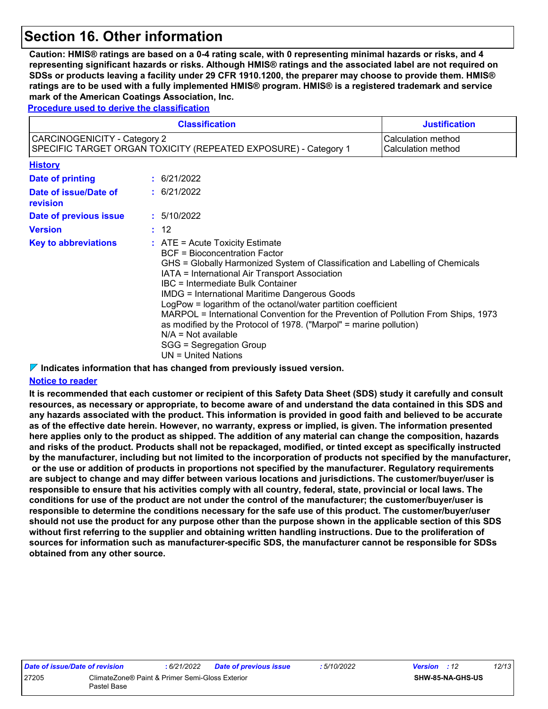## **Section 16. Other information**

**Caution: HMIS® ratings are based on a 0-4 rating scale, with 0 representing minimal hazards or risks, and 4 representing significant hazards or risks. Although HMIS® ratings and the associated label are not required on SDSs or products leaving a facility under 29 CFR 1910.1200, the preparer may choose to provide them. HMIS® ratings are to be used with a fully implemented HMIS® program. HMIS® is a registered trademark and service mark of the American Coatings Association, Inc.**

**Procedure used to derive the classification**

|                                                                                                                                                                                                                                                                                                                                                                                                                                                                                                                                                                                                                                                             | <b>Justification</b> |                  |                                          |
|-------------------------------------------------------------------------------------------------------------------------------------------------------------------------------------------------------------------------------------------------------------------------------------------------------------------------------------------------------------------------------------------------------------------------------------------------------------------------------------------------------------------------------------------------------------------------------------------------------------------------------------------------------------|----------------------|------------------|------------------------------------------|
| CARCINOGENICITY - Category 2<br>SPECIFIC TARGET ORGAN TOXICITY (REPEATED EXPOSURE) - Category 1                                                                                                                                                                                                                                                                                                                                                                                                                                                                                                                                                             |                      |                  | Calculation method<br>Calculation method |
| <b>History</b>                                                                                                                                                                                                                                                                                                                                                                                                                                                                                                                                                                                                                                              |                      |                  |                                          |
| <b>Date of printing</b>                                                                                                                                                                                                                                                                                                                                                                                                                                                                                                                                                                                                                                     |                      | $\div$ 6/21/2022 |                                          |
| Date of issue/Date of<br>revision                                                                                                                                                                                                                                                                                                                                                                                                                                                                                                                                                                                                                           |                      | : 6/21/2022      |                                          |
| Date of previous issue                                                                                                                                                                                                                                                                                                                                                                                                                                                                                                                                                                                                                                      |                      | : 5/10/2022      |                                          |
| <b>Version</b>                                                                                                                                                                                                                                                                                                                                                                                                                                                                                                                                                                                                                                              |                      | : 12             |                                          |
| $\therefore$ ATE = Acute Toxicity Estimate<br><b>Key to abbreviations</b><br><b>BCF</b> = Bioconcentration Factor<br>GHS = Globally Harmonized System of Classification and Labelling of Chemicals<br>IATA = International Air Transport Association<br>IBC = Intermediate Bulk Container<br><b>IMDG = International Maritime Dangerous Goods</b><br>LogPow = logarithm of the octanol/water partition coefficient<br>MARPOL = International Convention for the Prevention of Pollution From Ships, 1973<br>as modified by the Protocol of 1978. ("Marpol" = marine pollution)<br>$N/A = Not available$<br>SGG = Segregation Group<br>$UN = United Nations$ |                      |                  |                                          |

**Indicates information that has changed from previously issued version.**

#### **Notice to reader**

**It is recommended that each customer or recipient of this Safety Data Sheet (SDS) study it carefully and consult resources, as necessary or appropriate, to become aware of and understand the data contained in this SDS and any hazards associated with the product. This information is provided in good faith and believed to be accurate as of the effective date herein. However, no warranty, express or implied, is given. The information presented here applies only to the product as shipped. The addition of any material can change the composition, hazards and risks of the product. Products shall not be repackaged, modified, or tinted except as specifically instructed by the manufacturer, including but not limited to the incorporation of products not specified by the manufacturer, or the use or addition of products in proportions not specified by the manufacturer. Regulatory requirements are subject to change and may differ between various locations and jurisdictions. The customer/buyer/user is responsible to ensure that his activities comply with all country, federal, state, provincial or local laws. The conditions for use of the product are not under the control of the manufacturer; the customer/buyer/user is responsible to determine the conditions necessary for the safe use of this product. The customer/buyer/user should not use the product for any purpose other than the purpose shown in the applicable section of this SDS without first referring to the supplier and obtaining written handling instructions. Due to the proliferation of sources for information such as manufacturer-specific SDS, the manufacturer cannot be responsible for SDSs obtained from any other source.**